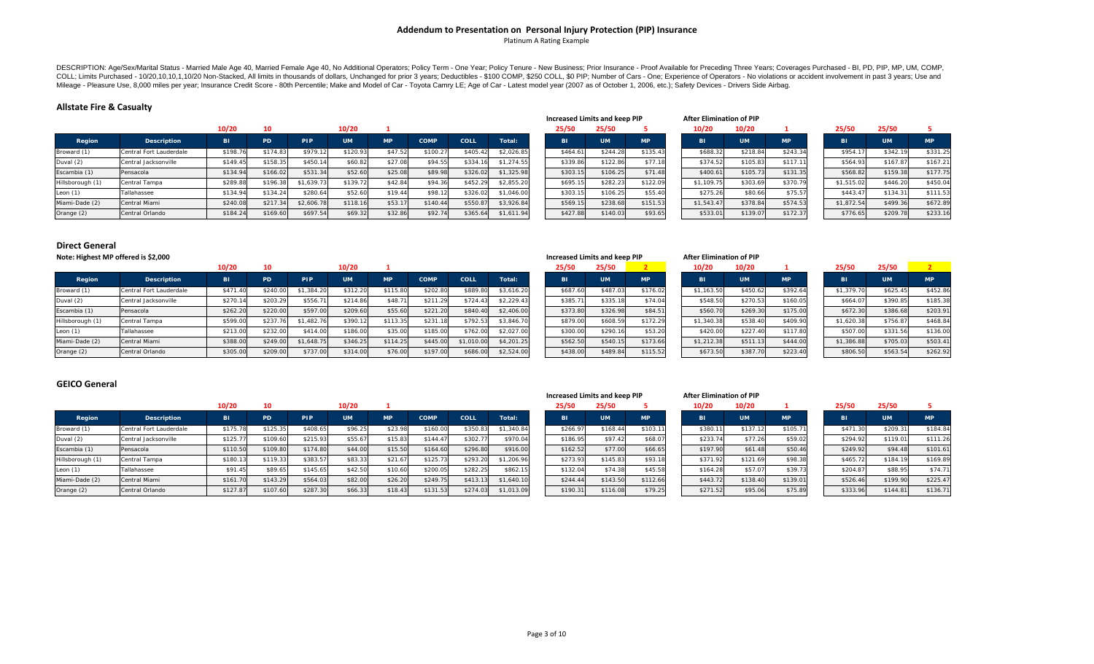#### **Addendum to Presentation on Personal Injury Protection (PIP) Insurance**

Platinum A Rating Example

DESCRIPTION: Age/Sex/Marital Status - Married Male Age 40, Married Female Age 40, No Additional Operators; Policy Term - One Year; Policy Tenure - New Business; Prior Insurance - Proof Available for Preceding Three Years; COLL; Limits Purchased - 10/20,10,10,1,10/20 Non-Stacked, All limits in thousands of dollars, Unchanged for prior 3 years; Deductibles - \$100 COMP, \$250 COLL, \$0 PIP; Number of Cars - One; Experience of Operators - No viol Mileage - Pleasure Use, 8,000 miles per year; Insurance Credit Score - 80th Percentile; Make and Model of Car - Toyota Camry LE; Age of Car - Latest model year (2007 as of October 1, 2006, etc.); Safety Devices - Drivers S

### **Allstate Fire & Casualty**

|                  |                         | 10/20     | 10       |            | 10/20     |           |             |             |            | 25/50     | 25/50     |           | 10/20      | 10/20     |          | 25/50      | 25/50     |           |
|------------------|-------------------------|-----------|----------|------------|-----------|-----------|-------------|-------------|------------|-----------|-----------|-----------|------------|-----------|----------|------------|-----------|-----------|
| Region           | Description             | <b>BI</b> | PD       | <b>PIP</b> | <b>UM</b> | <b>MP</b> | <b>COMP</b> | <b>COLL</b> | Total:     | <b>BI</b> | <b>UM</b> | <b>MP</b> | <b>BI</b>  | <b>UM</b> | MP       | BI.        | <b>UM</b> | <b>MP</b> |
| Broward (1)      | Central Fort Lauderdale | \$198.76  | \$174.83 | \$979.12   | \$120.93  | \$47.52   | \$100.27    | \$405.4     | \$2,026.85 | \$464.6'  | \$244.28  | \$135.43  | \$688.32   | \$218.84  | \$243.34 | \$954.1    | \$342.19  | \$331.25  |
| Duval (2)        | Central Jacksonville    | \$149.45  | \$158.35 | \$450.14   | \$60.82   | \$27.08   | \$94.55     | \$334.16    | \$1.274.55 | \$339.86  | \$122.86  | \$77.18   | \$374.52   | \$105.83  | \$117.11 | \$564.93   | \$167.8   | \$167.21  |
| Escambia (1)     | Pensacola               | \$134.94  | \$166.02 | \$531.34   | \$52.60   | \$25.08   | \$89.98     | \$326.0     | \$1,325.98 | \$303.15  | \$106.25  | \$71.48   | \$400.61   | \$105.73  | \$131.35 | \$568.82   | \$159.38  | \$177.75  |
| Hillsborough (1) | Central Tampa           | \$289.88  | \$196.38 | \$1,639.73 | \$139.72  | \$42.84   | \$94.36     | \$452.2     | \$2,855.20 | \$695.1   | \$282.23  | \$122.09  | \$1,109.75 | \$303.69  | \$370.79 | \$1,515.02 | \$446.20  | \$450.04  |
| Leon $(1)$       | Tallahassee             | \$134.94  | \$134.24 | \$280.64   | \$52.60   | \$19.44   | \$98.12     | \$326.0     | \$1,046.00 | \$303.1   | \$106.25  | \$55.40   | \$275.26   | \$80.66   | \$75.57  | \$443.47   | \$134.31  | \$111.53  |
| Miami-Dade (2)   | Central Miami           | \$240.08  | \$217.3  | \$2,606.78 | \$118.16  | \$53.1    | \$140.44    | \$550.8     | \$3,926.84 | \$569.15  | \$238.68  | \$151.53  | \$1,543.47 | \$378.84  | \$574.53 | \$1,872.54 | \$499.36  | \$672.89  |
| Orange (2)       | Central Orlando         | \$184.24  | \$169.60 | \$697.54   | \$69.32   | \$32.86   | \$92.74     | \$365.6     | \$1,611.94 | \$427.88  | \$140.03  | \$93.65   | \$533.01   | \$139.07  | \$172.37 | \$776.65   | \$209.78  | \$233.16  |

|                |  | 25/50    | 25/50     | 5         |  |  |  |  |  |  |  |  |  |  |
|----------------|--|----------|-----------|-----------|--|--|--|--|--|--|--|--|--|--|
|                |  | BI       | <b>UM</b> | <b>MP</b> |  |  |  |  |  |  |  |  |  |  |
| 5              |  | \$464.61 | \$244.28  | \$135     |  |  |  |  |  |  |  |  |  |  |
| 5              |  | \$339.86 | \$122.86  | \$77      |  |  |  |  |  |  |  |  |  |  |
| 8              |  | \$303.15 | \$106.25  | \$71      |  |  |  |  |  |  |  |  |  |  |
| Ó              |  | \$695.15 | \$282.23  | \$122     |  |  |  |  |  |  |  |  |  |  |
| Ó              |  | \$303.15 | \$106.25  | \$55      |  |  |  |  |  |  |  |  |  |  |
| $\overline{4}$ |  | \$569.15 | \$238.68  | \$151     |  |  |  |  |  |  |  |  |  |  |
| $\overline{4}$ |  | \$427.88 | \$140.03  | \$93      |  |  |  |  |  |  |  |  |  |  |

|                               | <b>After Elimination of PIP</b> |  |
|-------------------------------|---------------------------------|--|
| Increased Limits and keep PIP |                                 |  |

| 10/20      | 10/20     |           |  | 25/50      | 25/50     | 5         |
|------------|-----------|-----------|--|------------|-----------|-----------|
| <b>BI</b>  | <b>UM</b> | <b>MP</b> |  | BI         | <b>UM</b> | <b>MP</b> |
| \$688.32   | \$218.84  | \$243.34  |  | \$954.17   | \$342.19  | \$331.    |
| \$374.52   | \$105.83  | \$117.11  |  | \$564.93   | \$167.87  | \$167.    |
| \$400.61   | \$105.73  | \$131.35  |  | \$568.82   | \$159.38  | \$177.    |
| \$1,109.75 | \$303.69  | \$370.79  |  | \$1,515.02 | \$446.20  | \$450.    |
| \$275.26   | \$80.66   | \$75.57   |  | \$443.47   | \$134.31  | \$111.    |
| \$1,543.47 | \$378.84  | \$574.53  |  | \$1,872.54 | \$499.36  | \$672.3   |
| \$533.01   | \$139.07  | \$172.37  |  | \$776.65   | \$209.78  | \$233.    |

### **Direct General**

**Note:**

|                  | Note: Highest MP offered is \$2,000 |           |           |            |           |           |             |            |            |  |           | Increased Limits and keep PIP |           |            |          | <b>After Elimination of PIP</b> |           |            |           |           |
|------------------|-------------------------------------|-----------|-----------|------------|-----------|-----------|-------------|------------|------------|--|-----------|-------------------------------|-----------|------------|----------|---------------------------------|-----------|------------|-----------|-----------|
|                  |                                     | 10/20     |           |            | 10/20     |           |             |            |            |  | 25/50     | 25/50                         |           | 10/20      |          | 10/20                           |           | 25/50      | 25/50     |           |
| Region           | <b>Description</b>                  | <b>BI</b> | <b>PD</b> | PIP        | <b>UM</b> | <b>MP</b> | <b>COMP</b> | COLL       | Total:     |  | <b>BI</b> | <b>UM</b>                     | <b>MP</b> | 'BI        |          | <b>UM</b>                       | <b>MP</b> | <b>BI</b>  | <b>UM</b> | <b>MP</b> |
| Broward (1)      | Central Fort Lauderdale             | \$471.40  | \$240.0   | \$1,384.20 | \$312.20  | \$115.80  | \$202.80    | \$889.8    | \$3,616.20 |  | \$687.60  | \$487.03                      | \$176.02  | \$1,163.50 |          | \$450.62                        | \$392.64  | \$1,379.70 | \$625.45  | \$452.86  |
| Duval (2)        | Central Jacksonville                | \$270.14  | \$203.2   | \$556.71   | \$214.86  | \$48.71   | \$211.29    | \$724.43   | \$2,229.43 |  | \$385.7   | \$335.18                      | \$74.04   | \$548.50   |          | \$270.53                        | \$160.05  | \$664.0    | \$390.85  | \$185.38  |
| Escambia (1)     | Pensacola                           | \$262.20  | \$220.00  | \$597.00   | \$209.60  | \$55.60   | \$221.20    | \$840.40   | \$2,406.00 |  | \$373.80  | \$326.98                      | \$84.51   |            | \$560.70 | \$269.30                        | \$175.00  | \$672.30   | \$386.68  | \$203.91  |
| Hillsborough (1) | Central Tampa                       | \$599.00  | \$237.    | 1,482.76   | \$390.12  | \$113.35  | \$231.18    | \$792.5    | \$3,846.70 |  | \$879.00  | \$608.59                      | \$172.29  | \$1,340.38 |          | \$538.40                        | \$409.90  | \$1,620.38 | \$756.8   | \$468.84  |
| Leon $(1)$       | Tallahassee                         | \$213.00  | \$232.00  | \$414.00   | \$186.00  | \$35.00   | \$185.00    | \$762.00   | \$2,027.00 |  | \$300.00  | \$290.16                      | \$53.20   |            | \$420.00 | \$227.40                        | \$117.80  | \$507.00   | \$331.56  | \$136.00  |
| Miami-Dade (2)   | Central Miami                       | \$388.00  | \$249.0   | 1,648.75   | \$346.25  | \$114.25  | \$445.00    | \$1,010.00 | \$4,201.25 |  | \$562.50  | \$540.15                      | \$173.66  | 31.212.38  |          | \$511.13                        | \$444.00  | \$1,386.88 | \$705.03  | \$503.41  |
| Orange (2)       | Central Orlando                     | \$305.00  | \$209.00  | \$737.00   | \$314.00  | \$76.00   | \$197.00    | \$686.00   | \$2,524.00 |  | \$438.00  | \$489.84                      | \$115.52  |            | \$673.50 | \$387.70                        | \$223.40  | \$806.50   | \$563.54  | \$262.92  |

# **GEICO General**

|                  |                         | 10/20    |          |            | 10/20     |           |             |          |            | 25/50    | 25/50     |           | 10/20    | 10/20     |           | 25/50     |          | 25/50     |           |
|------------------|-------------------------|----------|----------|------------|-----------|-----------|-------------|----------|------------|----------|-----------|-----------|----------|-----------|-----------|-----------|----------|-----------|-----------|
| Region           | <b>Description</b>      | BI.      | PD.      | <b>PIP</b> | <b>UM</b> | <b>MP</b> | <b>COMP</b> | COLL     | Total:     |          | <b>UM</b> | <b>MP</b> | BI       | <b>UM</b> | <b>MP</b> | <b>BI</b> |          | <b>UM</b> | <b>MP</b> |
| Broward (1)      | Central Fort Lauderdale | \$175.78 | \$125.35 | \$408.65   | \$96.25   | \$23.98   | \$160.00    | \$350.83 | \$1,340.84 | \$266.9  | \$168.44  | \$103.11  | \$380.1  | \$137.12  | \$105.71  | \$471.30  |          | \$209.31  | \$184.84  |
| Duval (2)        | Central Jacksonville    | \$125.7  | \$109.60 | \$215.93   | \$55.67   | \$15.8    | \$144.47    | \$302.77 | \$970.04   | \$186.95 | \$97.42   | \$68.0    | \$233.74 | \$77.26   | \$59.02   | \$294.92  |          | \$119.0   | \$111.26  |
| Escambia (1)     | Pensacola               | \$110.50 | \$109.80 | \$174.80   | \$44.00   | \$15.5C   | \$164.60    | \$296.80 | \$916.00   | \$162.52 | \$77.00   | \$66.6    | \$197.90 | \$61.48   | \$50.46   | \$249.92  |          | \$94.48   | \$101.61  |
| Hillsborough (1) | Central Tampa           | \$180.13 | \$119.33 | \$383.5    | \$83.33   | \$21.6    | \$125.73    | \$293.20 | \$1,206.96 | \$273.9  | \$145.83  | \$93.18   | \$371.92 | \$121.69  | \$98.38   | \$465.72  |          | \$184.19  | \$169.89  |
| Leon $(1)$       | Tallahassee             | \$91.45  | \$89.65  | \$145.65   | \$42.50   | \$10.60   | \$200.05    | \$282.25 | \$862.15   | \$132.04 | \$74.38   | \$45.58   | \$164.28 | \$57.07   | \$39.73   | \$204.87  |          | \$88.95   | \$74.7    |
| Miami-Dade (2)   | Central Miami           | \$161.70 | \$143.29 | \$564.03   | \$82.00   | \$26.20   | \$249.75    | \$413.13 | \$1,640.10 | \$244.44 | \$143.50  | \$112.66  | \$443.72 | \$138.40  | \$139.01  |           | \$526.46 | \$199.90  | \$225.47  |
| Orange (2)       | Central Orlando         | \$127.8  | \$107.60 | \$287.30   | \$66.33   | \$18.43   | \$131.53    | \$274.03 | \$1,013.09 | \$190.31 | \$116.08  | \$79.25   | \$271.52 | \$95.06   | \$75.89   | \$333.96  |          | \$144.81  | \$136.71  |

| <b>Increased Limits and keep PIP</b> |  |
|--------------------------------------|--|
|                                      |  |

**Limits and keep PIP After Elimination of PIP**

|                 | 10/20    | 10/20     |           | 25/50     |
|-----------------|----------|-----------|-----------|-----------|
|                 | BI       | <b>UM</b> | <b>MP</b> | <b>BI</b> |
| 11              | \$380.11 | \$137.12  | \$105.71  | \$471     |
| 07              | \$233.74 | \$77.26   | \$59.02   | \$294     |
| 65              | \$197.90 | \$61.48   | \$50.46   | \$249     |
| $\overline{18}$ | \$371.92 | \$121.69  | \$98.38   | \$465     |
| 58              | \$164.28 | \$57.07   | \$39.73   | \$204     |
| 66              | \$443.72 | \$138.40  | \$139.01  | \$526     |
| 25              | \$271.52 | \$95.06   | \$75.89   | \$333     |

|        | 25/50    | 25/50     |           |
|--------|----------|-----------|-----------|
| P      | BI       | <b>UM</b> | <b>MP</b> |
| 105.71 | \$471.30 | \$209.31  | \$184.84  |
| 559.02 | \$294.92 | \$119.01  | \$111.26  |
| 550.46 | \$249.92 | \$94.48   | \$101.61  |
| 598.38 | \$465.72 | \$184.19  | \$169.89  |
| 539.73 | \$204.87 | \$88.95   | \$74.71   |
| 139.01 | \$526.46 | \$199.90  | \$225.47  |
| 575.89 | \$333.96 | \$144.81  | \$136.71  |
|        |          |           |           |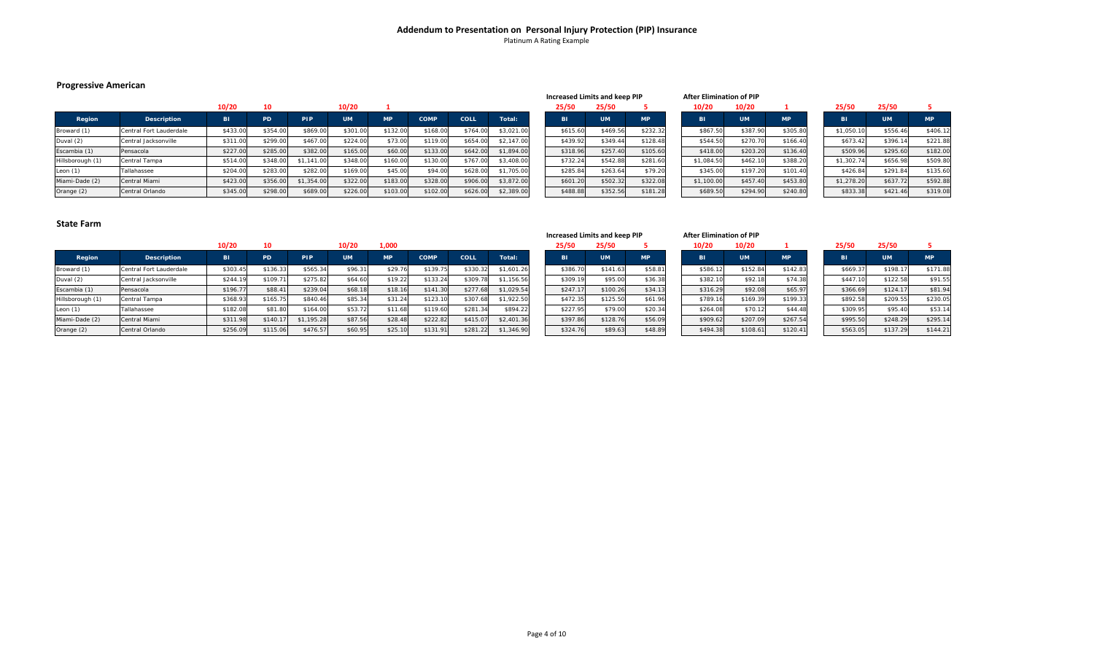# **Addendum to Presentation on Personal Injury Protection (PIP) Insurance** Platinum A Rating Example

# **Progressive American**

|                  |                         |           |          |            |           |           |             |          |            | $11121$ cased Emmes and Reep . II |           |           | ARS LIBRARY CONTRACTOR |           |          |  |            |           |           |
|------------------|-------------------------|-----------|----------|------------|-----------|-----------|-------------|----------|------------|-----------------------------------|-----------|-----------|------------------------|-----------|----------|--|------------|-----------|-----------|
|                  |                         | 10/20     | 10       |            | 10/20     |           |             |          |            | 25/50                             | 25/50     |           | 10/20                  | 10/20     |          |  | 25/50      | 25/50     |           |
| Region           | <b>Description</b>      | <b>BI</b> | PD.      | PIP        | <b>UM</b> | <b>MP</b> | <b>COMP</b> | COLL     | Total:     |                                   | <b>UM</b> | <b>MP</b> | BI                     | <b>UM</b> | MP.      |  | <b>BI</b>  | <b>UM</b> | <b>MP</b> |
| Broward (1)      | Central Fort Lauderdale | \$433.00  | \$354.00 | \$869.00   | \$301.00  | \$132.00  | \$168.00    | \$764.00 | \$3,021.00 | \$615.60                          | \$469.56  | \$232.32  | \$867.50               | \$387.90  | \$305.80 |  | \$1,050.10 | \$556.46  | \$406.12  |
| Duval (2)        | Central Jacksonville    | \$311.00  | \$299.00 | \$467.00   | \$224.00  | \$73.0    | \$119.00    | \$654.00 | \$2,147.00 | \$439.92                          | \$349.44  | \$128.48  | \$544.50               | \$270.70  | \$166.40 |  | \$673.42   | \$396.14  | \$221.88  |
| Escambia (1)     | Pensacola               | \$227.00  | \$285.00 | \$382.00   | \$165.00  | \$60.0    | \$133.00    | \$642.00 | \$1,894.00 | \$318.96                          | \$257.40  | \$105.60  | \$418.00               | \$203.20  | \$136.40 |  | \$509.96   | \$295.60  | \$182.00  |
| Hillsborough (1) | Central Tampa           | \$514.00  | \$348.00 | \$1,141.00 | \$348.00  | \$160.0   | \$130.00    | \$767.00 | \$3,408.00 | \$732.24                          | \$542.88  | \$281.60  | \$1,084.50             | \$462.10  | \$388.20 |  | \$1,302.74 | \$656.98  | \$509.80  |
| Leon $(1)$       | Tallahassee             | \$204.00  | \$283.00 | \$282.00   | \$169.00  | \$45.00   | \$94.00     | \$628.00 | \$1,705.00 | \$285.8                           | \$263.64  | \$79.20   | \$345.00               | \$197.20  | \$101.40 |  | \$426.84   | \$291.84  | \$135.60  |
| Miami-Dade (2)   | Central Miami           | \$423.00  | \$356.00 | \$1,354.00 | \$322.00  | \$183.00  | \$328.00    | \$906.00 | \$3,872.00 | \$601.20                          | \$502.32  | \$322.08  | \$1,100.00             | \$457.40  | \$453.80 |  | \$1,278.20 | \$637.72  | \$592.88  |
| Orange (2)       | Central Orlando         | \$345.00  | \$298.00 | \$689.00   | \$226.00  | \$103.00  | \$102.00    | \$626.00 | \$2,389.00 | \$488.88                          | \$352.56  | \$181.28  | \$689.50               | \$294.90  | \$240.80 |  | \$833.38   | \$421.46  | \$319.08  |

| <b>Increased Limits and keep PIP</b> |           |           |  |  |  |  |  |  |  |  |  |
|--------------------------------------|-----------|-----------|--|--|--|--|--|--|--|--|--|
| 25/50                                | 25/50     | 5         |  |  |  |  |  |  |  |  |  |
| BI                                   | <b>UM</b> | <b>MP</b> |  |  |  |  |  |  |  |  |  |
| \$615.60                             | \$469.56  | \$232.32  |  |  |  |  |  |  |  |  |  |
| \$439.92                             | \$349.44  | \$128.48  |  |  |  |  |  |  |  |  |  |
| \$318.96                             | \$257.40  | \$105.60  |  |  |  |  |  |  |  |  |  |
| \$732.24                             | \$542.88  | \$281.60  |  |  |  |  |  |  |  |  |  |
| \$285.84                             | \$263.64  | \$79.20   |  |  |  |  |  |  |  |  |  |
| \$601.20                             | \$502.32  | \$322.08  |  |  |  |  |  |  |  |  |  |
| \$488.88                             | \$352.56  | \$181.28  |  |  |  |  |  |  |  |  |  |

| <b>After Elimination of PIP</b> |           |           |  |            |           |  |  |  |  |  |
|---------------------------------|-----------|-----------|--|------------|-----------|--|--|--|--|--|
| 10/20                           | 10/20     | 1         |  | 25/50      | 25/50     |  |  |  |  |  |
| BI                              | <b>UM</b> | <b>MP</b> |  | BI         | <b>UM</b> |  |  |  |  |  |
| \$867.50                        | \$387.90  | \$305.80  |  | \$1,050.10 | \$556.46  |  |  |  |  |  |
| \$544.50                        | \$270.70  | \$166.40  |  | \$673.42   | \$396.14  |  |  |  |  |  |
| \$418.00                        | \$203.20  | \$136.40  |  | \$509.96   | \$295.60  |  |  |  |  |  |
| \$1,084.50                      | \$462.10  | \$388.20  |  | \$1,302.74 | \$656.98  |  |  |  |  |  |
| \$345.00                        | \$197.20  | \$101.40  |  | \$426.84   | \$291.84  |  |  |  |  |  |
| \$1,100.00                      | \$457.40  | \$453.80  |  | \$1,278.20 | \$637.72  |  |  |  |  |  |
| \$689.50                        | \$294.90  | \$240.80  |  | \$833.38   | \$421.46  |  |  |  |  |  |

|                  |                         |          |           |            |           |           |             |          |            | increased Limits and keep PiP |           |           |           | After Elimination of PiP |           |           |          |           |           |
|------------------|-------------------------|----------|-----------|------------|-----------|-----------|-------------|----------|------------|-------------------------------|-----------|-----------|-----------|--------------------------|-----------|-----------|----------|-----------|-----------|
|                  |                         | 10/20    |           |            | 10/20     | 1,000     |             |          |            | 25/50                         | 25/50     |           | 10/20     | 10/20                    |           | 25/50     |          | 25/50     |           |
| Region           | <b>Description</b>      | LBI .    | <b>PD</b> | PIP        | <b>UM</b> | <b>MP</b> | <b>COMP</b> | COLL     | Total:     |                               | <b>UM</b> | <b>MP</b> | <b>BI</b> | <b>UM</b>                | <b>MP</b> | <b>BI</b> |          | <b>UM</b> | <b>MP</b> |
| Broward (1)      | Central Fort Lauderdale | \$303.45 | \$136.33  | \$565.34   | \$96.31   | \$29.76   | \$139.75    | \$330.3  | \$1,601.26 | \$386.70                      | \$141.63  | \$58.81   | \$586.12  | \$152.84                 | \$142.83  |           | \$669.37 | \$198.1   | \$171.88  |
| Duval (2)        | Central Jacksonville    | \$244.19 | \$109.71  | \$275.82   | \$64.60   | \$19.22   | \$133.24    | \$309.   | \$1,156.56 | \$309.1                       | \$95.00   | \$36.38   | \$382.10  | \$92.18                  | \$74.38   |           | \$447.1  | \$122.58  | \$91.55   |
| Escambia (1)     | Pensacola               | \$196.77 | \$88.4    | \$239.04   | \$68.18   | \$18.16   | \$141.30    | \$277.68 | \$1,029.54 | \$247.1                       | \$100.26  | \$34.13   | \$316.29  | \$92.08                  | \$65.97   |           | \$366.6  | \$124.1   | \$81.94   |
| Hillsborough (1) | Central Tampa           | \$368.93 | \$165.75  | \$840.46   | \$85.34   | \$31.24   | \$123.10    | \$307.6  | \$1,922.50 | \$472.35                      | \$125.50  | \$61.96   | \$789.16  | \$169.39                 | \$199.33  |           | \$892.5  | \$209.55  | \$230.05  |
| Leon $(1)$       | Tallahassee             | \$182.08 | \$81.80   | \$164.00   | \$53.72   | \$11.68   | \$119.60    | \$281.34 | \$894.22   | \$227.95                      | \$79.00   | \$20.34   | \$264.08  | \$70.12                  | \$44.48   |           | \$309.9  | \$95.40   | \$53.14   |
| Miami-Dade (2)   | Central Miami           | \$311.98 | \$140.1   | \$1,195.28 | \$87.56   | \$28.48   | \$222.82    | \$415.0  | \$2,401.36 | \$397.86                      | \$128.76  | \$56.09   | \$909.62  | \$207.09                 | \$267.54  |           | \$995.50 | \$248.29  | \$295.14  |
| Orange (2)       | Central Orlando         | \$256.09 | \$115.06  | \$476.57   | \$60.95   | \$25.10   | \$131.91    | \$281.22 | \$1,346.90 | \$324.76                      | \$89.63   | \$48.89   | \$494.38  | \$108.61                 | \$120.41  |           | \$563.05 | \$137.29  | \$144.21  |

| Increased Limits and keep PIP | <b>After Elimination of PIP</b> |  |
|-------------------------------|---------------------------------|--|

| 20    | 10/20     |           | 25/50    | 25/50     |  |
|-------|-----------|-----------|----------|-----------|--|
|       | <b>UM</b> | <b>MP</b> | BI       | <b>UM</b> |  |
| 86.12 | \$152.84  | \$142.83  | \$669.37 | \$198.17  |  |
| 82.10 | \$92.18   | \$74.38   | \$447.10 | \$122.58  |  |
| 16.29 | \$92.08   | \$65.97   | \$366.69 | \$124.17  |  |
| 89.16 | \$169.39  | \$199.33  | \$892.58 | \$209.55  |  |
| 64.08 | \$70.12   | \$44.48   | \$309.95 | \$95.40   |  |
| 09.62 | \$207.09  | \$267.54  | \$995.50 | \$248.29  |  |
| 94.38 | \$108.61  | \$120.41  | \$563.05 | \$137.29  |  |

| 565.97  | \$366.69 | \$124.17 |  |
|---------|----------|----------|--|
| 199.33  | \$892.58 | \$209.55 |  |
| \$44.48 | \$309.95 | \$95.40  |  |
| 267.54  | \$995.50 | \$248.29 |  |
| 120.41  | \$563.05 | \$137.29 |  |
|         |          |          |  |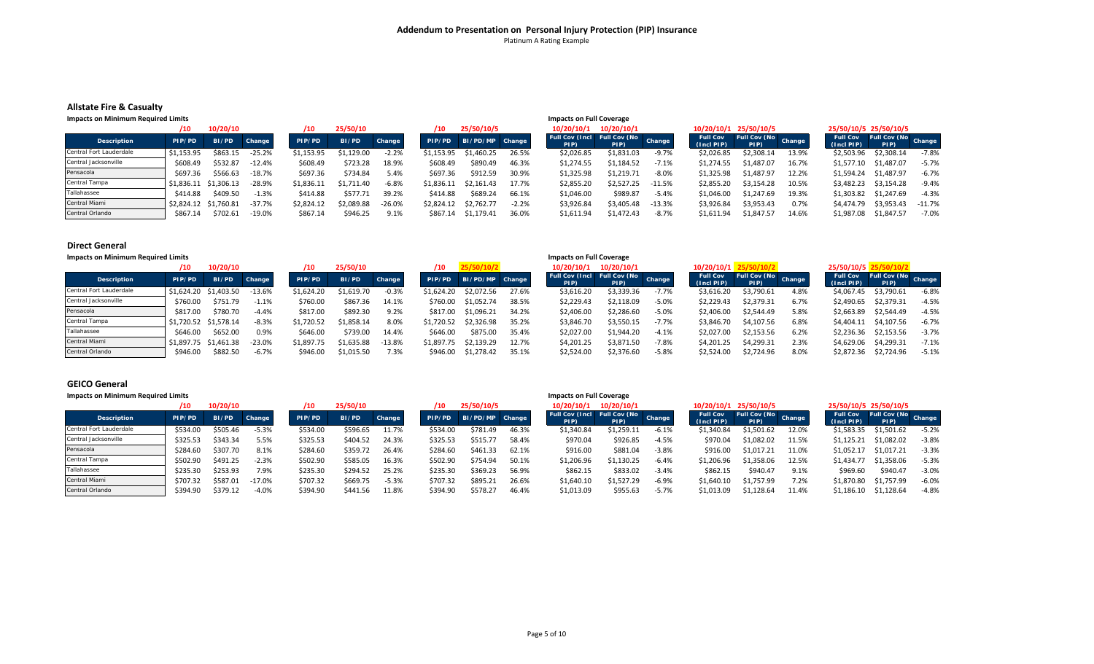# **Addendum to Presentation on Personal Injury Protection (PIP) Insurance** Platinum A Rating Example

#### **Allstate Fire & Casualty**

| <b>Impacts on Minimum Required Limits</b> |                       |                       |          |            |            |          |            |                 |         | <b>Impacts on Full Coverage</b>                |            |          |                                                 |                       |       |                                     |                             |          |
|-------------------------------------------|-----------------------|-----------------------|----------|------------|------------|----------|------------|-----------------|---------|------------------------------------------------|------------|----------|-------------------------------------------------|-----------------------|-------|-------------------------------------|-----------------------------|----------|
|                                           | /10                   | 10/20/10              |          |            | 25/50/10   |          | 10         | 25/50/10/5      |         | 10/20/10/1                                     | 10/20/10/1 |          |                                                 | 10/20/10/1 25/50/10/5 |       |                                     | 25/50/10/5 25/50/10/5       |          |
| <b>Description</b>                        | PIP/PD                | BI/PD                 | Change   | PIP/PD     | BI/PD      | Change   | PIP/PD     | BI/PD/MP Change |         | Full Cov (Incl   Full Cov (No   Change<br>PIP) | PIP)       |          | Full Cov Full Cov (No Change<br>$(Incl$ PIP $)$ | PIP)                  |       | <b>Full Cov</b><br>$($ Incl PIP $)$ | Full Cov (No Change<br>PIP) |          |
| Central Fort Lauderdale                   | \$1.153.95            | \$863.15              | $-25.2%$ | \$1.153.95 | \$1.129.00 | $-2.2%$  | \$1.153.95 | \$1,460.25      | 26.5%   | \$2,026.85                                     | \$1,831.03 | $-9.7%$  | \$2,026.85                                      | \$2,308.14            | 13.9% | \$2,503.96                          | \$2,308.14                  | $-7.8%$  |
| Central Jacksonville                      | \$608.49              | \$532.87              | $-12.4%$ | \$608.49   | \$723.28   | 18.9%    | \$608.49   | \$890.49        | 46.3%   | \$1,274.55                                     | \$1,184.52 | $-7.1%$  | \$1,274.55                                      | \$1.487.07            | 16.7% | \$1,577.10                          | \$1,487.07                  | $-5.7%$  |
| Pensacola                                 | \$697.36              | \$566.63              | $-18.7%$ | \$697.36   | \$734.84   | 5.4%     | \$697.36   | \$912.59        | 30.9%   | \$1,325.98                                     | \$1,219.71 | $-8.0%$  | \$1,325.98                                      | \$1.487.97            | 12.2% | \$1,594.24                          | \$1,487.97                  | $-6.7%$  |
| Central Tampa                             |                       | \$1,836.11 \$1,306.13 | $-28.9%$ | \$1,836.11 | \$1.711.40 | $-6.8%$  | \$1.836.11 | \$2.161.43      | 17.7%   | \$2,855.20                                     | \$2.527.25 | -11.5%   | \$2,855.20                                      | \$3.154.28            | 10.5% | \$3.482.23                          | \$3,154.28                  | $-9.4%$  |
| Tallahassee                               | \$414.88              | \$409.50              | $-1.3%$  | \$414.88   | \$577.71   | 39.2%    | \$414.88   | \$689.24        | 66.1%   | \$1,046.00                                     | \$989.87   | $-5.4%$  | \$1.046.00                                      | \$1.247.69            | 19.3% | \$1,303.82                          | \$1,247.69                  | $-4.3%$  |
| Central Miami                             | \$2,824.12 \$1,760.81 |                       | -37.7%   | \$2,824.12 | \$2,089.88 | $-26.0%$ | \$2.824.12 | \$2.762.77      | $-2.2%$ | \$3,926.84                                     | \$3,405.48 | $-13.3%$ | \$3,926.84                                      | \$3,953.43            | 0.7%  | \$4.474.79                          | \$3,953.43                  | $-11.7%$ |
| Central Orlando                           | \$867.14              | \$702.61              | $-19.0%$ | \$867.14   | \$946.25   | 9.1%     | \$867.14   | \$1,179.41      | 36.0%   | \$1.611.94                                     | \$1.472.43 | $-8.7%$  | \$1.611.94                                      | \$1.847.57            | 14.6% | \$1,987.08                          | \$1,847.57                  | $-7.0%$  |

#### **Direct General**

#### **Impacts on Minimum Required Limits Impacts on Full Coverage** 10 10/20/10 10/20/10 10/20/10 10/20/10 10/20/10 10/20/10/1 10/20/10/1 10/20/10/1 10/20/10/1 10/20/10/1 25/50/10/2 25/50/10/5 25/50/10/2<br>An el Change Burge Burge Burge Burge Burge Burge Burge Full Cov (Inci Full Cov (No cha Description PIP/PD BI/PD Change PIP/PD BI/PD Change PIP/PD BI/PD/MP Change Full Cov (Incl Full Cov (No Change Full Cov Full Cov (No Change Full Cov (No Change Full Cov (No Change Full Cov (No Change Full Cov (No Change Ful Central Fort Lauderdale° |\$1,624.20 \$1,403.50 -13.6% \$1,624.20 \$1,619.70 -0.3% \$1,624.20 \$2,072.56 27.6% \$3,616.20 \$3,339.36 -7.7% \$3,616.20 \$3,790.61 4.8% \$4,067.45 \$3,790.61 -6.8% Central Jacksonvillee | \$760.00 \$751.79 -1.1% \$760.00 \$867.36 14.1% \$760.00 \$1,052.74 38.5% \$2,229.43 \$2,229.43 \$2,229.43 \$2,279.31 \$2,490.65 \$2,379.31 4.5% Pensacola \$817.00 \$780.70 ‐4.4% \$817.00 \$892.30 9.2% \$817.00 \$1,096.21 34.2% \$2,406.00 \$2,286.60 ‐5.0% \$2,406.00 \$2,544.49 5.8% \$2,663.89 \$2,544.49 ‐4.5% Central Tampa \$1,720.52 \$1,578.14 ‐8.3% \$1,720.52 \$1,858.14 8.0% \$1,720.52 \$2,326.98 35.2% \$3,846.70 \$3,550.15 ‐7.7% \$3,846.70 \$4,107.56 6.8% \$4,404.11 \$4,107.56 ‐6.7% Tallahassee \$646.00 \$652.00 0.9% \$646.00 \$739.00 14.4% \$646.00 \$875.00 35.4% \$2,027.00 \$1,944.20 ‐4.1% \$2,027.00 \$2,153.56 6.2% \$2,236.36 \$2,153.56 ‐3.7% Central Miami \$1,897.75 \$1,461.38 ‐23.0% \$1,897.75 \$1,635.88 ‐13.8% \$1,897.75 \$2,139.29 12.7% \$4,201.25 \$3,871.50 ‐7.8% \$4,201.25 \$4,299.31 2.3% \$4,629.06 \$4,299.31 ‐7.1% Central Orlando° | \$946.00 \$882.50 -6.7% \$946.00 \$1,015.50 7.3% \$946.00 \$1,278.42 35.1% \$2,524.00 \$2,76.60 -5.8% \$2,524.00 \$2,724.96 8.0% \$2,872.36 \$2,724.96 -5.1%

#### **GEICO General**

| <b>Impacts on Minimum Required Limits</b> |  |  |  |  |
|-------------------------------------------|--|--|--|--|
|-------------------------------------------|--|--|--|--|

| Impacts on Minimum Required Limits |          |          |          |          |          |         |          |                 |       | <b>Impacts on Full Coverage</b>     |            |         |                                     |                             |       |                                     |                             |         |
|------------------------------------|----------|----------|----------|----------|----------|---------|----------|-----------------|-------|-------------------------------------|------------|---------|-------------------------------------|-----------------------------|-------|-------------------------------------|-----------------------------|---------|
|                                    | /10      | 10/20/10 |          | /10      | 25/50/10 |         |          | 25/50/10/5      |       | 10/20/10/1                          | 10/20/10/1 |         |                                     | 10/20/10/1 25/50/10/5       |       |                                     | 25/50/10/5 25/50/10/5       |         |
| <b>Description</b>                 | PIP/PD   | BI/PD    | Change   | PIP/PD   | BI/PD    | Change  | PIP/PD   | BI/PD/MP Change |       | Full Cov (Incl Full Cov (No<br>PIP) | PIP)       | Change  | <b>Full Cov</b><br>$($ Incl PIP $)$ | Full Cov (No Change<br>PIP) |       | <b>Full Cov</b><br>$($ Incl PIP $)$ | Full Cov (No Change<br>PIP) |         |
| Central Fort Lauderdale            | \$534.00 | \$505.46 | $-5.3%$  | \$534.0L | \$596.65 | 11.7%   | \$534.00 | \$781.49        | 46.3% | \$1,340.84                          | \$1,259.11 | $-6.1%$ | \$1,340.84                          | \$1,501.62                  | 12.0% | \$1,583.35                          | \$1,501.62                  | $-5.2%$ |
| Central Jacksonville               | \$325.53 | \$343.34 | 5.5%     | \$325.53 | \$404.52 | 24.3%   | \$325.53 | \$515.77        | 58.4% | \$970.04                            | \$926.85   | $-4.5%$ | \$970.04                            | \$1.082.02                  | 11.5% | \$1,125.21                          | \$1,082.02                  | $-3.8%$ |
| Pensacola                          | \$284.60 | \$307.70 | 8.1%     | \$284.60 | \$359.72 | 26.4%   | \$284.60 | \$461.33        | 62.1% | \$916.00                            | \$881.04   | $-3.8%$ | \$916.00                            | \$1.017.21                  | 11.0% | \$1.052.17                          | \$1,017.21                  | $-3.3%$ |
| Central Tampa                      | \$502.90 | \$491.25 | $-2.3%$  | \$502.90 | \$585.05 | 16.3%   | \$502.90 | \$754.94        | 50.1% | \$1,206.96                          | \$1,130.25 | $-6.4%$ | \$1,206.96                          | \$1.358.06                  | 12.5% | \$1.434.77                          | \$1,358.06                  | $-5.3%$ |
| Tallahassee                        | \$235.30 | \$253.93 | 7.9%     | \$235.30 | \$294.52 | 25.2%   | \$235.30 | \$369.23        | 56.9% | \$862.15                            | \$833.02   | $-3.4%$ | \$862.15                            | \$940.47                    | 9.1%  | \$969.60                            | \$940.47                    | $-3.0%$ |
| Central Miami                      | \$707.32 | \$587.01 | $-17.0%$ | \$707.32 | \$669.75 | $-5.3%$ | \$707.32 | \$895.21        | 26.6% | \$1,640.10                          | \$1,527.29 | $-6.9%$ | \$1.640.10                          | \$1,757.99                  | 7.2%  | \$1,870.80                          | \$1,757.99                  | $-6.0%$ |
| Central Orlando                    | \$394.90 | \$379.12 | $-4.0%$  | \$394.90 | \$441.56 | 11.8%   | \$394.90 | \$578.27        | 46.4% | \$1,013.09                          | \$955.63   | $-5.7%$ | \$1.013.09                          | \$1,128.64                  | 11.4% | \$1,186.10                          | \$1,128.64                  | $-4.8%$ |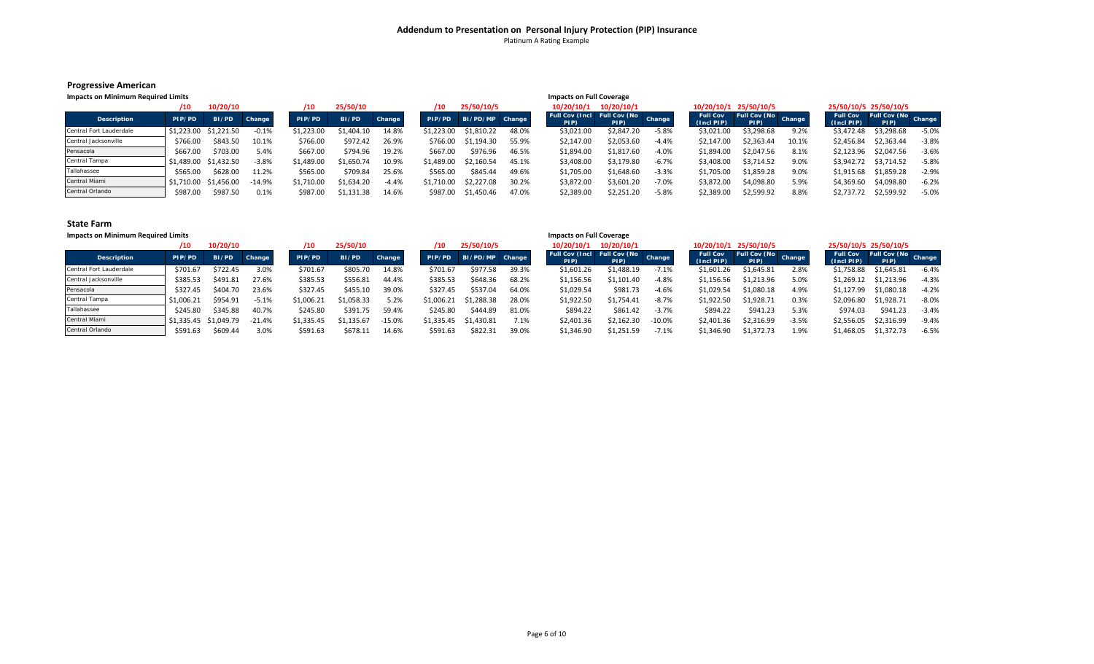#### **Progressive American**

| Impacts on Minimum Required Limits |            |                       |         |            |            |         |            |                 |       | <b>Impacts on Full Coverage</b>                |                       |         |            |                                      |       |                                       |                       |         |
|------------------------------------|------------|-----------------------|---------|------------|------------|---------|------------|-----------------|-------|------------------------------------------------|-----------------------|---------|------------|--------------------------------------|-------|---------------------------------------|-----------------------|---------|
|                                    | /10        | 10/20/10              |         | 10         | 25/50/10   |         | /10        | 25/50/10/5      |       |                                                | 10/20/10/1 10/20/10/1 |         |            | 10/20/10/1 25/50/10/5                |       |                                       | 25/50/10/5 25/50/10/5 |         |
| <b>Description</b>                 | PIP/PD     | BI/PD                 | Change  | PIP/PD     | BI/PD      | Change  | PIP/PD     | BI/PD/MP Change |       | Full Cov (Incl   Full Cov (No   Change<br>PIP) | PIP)                  |         | (1ncI PIP) | Full Cov Full Cov (No Change<br>PIP) |       | <b>Full Cov</b><br>$(1ncI PIP)$ $PIP$ | Full Cov (No Change   |         |
| Central Fort Lauderdale            | \$1.223.00 | \$1.221.50            | $-0.1%$ | \$1.223.00 | \$1.404.10 | 14.8%   | \$1.223.00 | \$1,810.22      | 48.0% | \$3,021.00                                     | \$2,847.20            | $-5.8%$ | \$3,021.00 | \$3,298.68                           | 9.2%  | \$3.472.48                            | \$3,298.68            | $-5.0%$ |
| Central Jacksonville               | \$766.00   | \$843.50              | 10.1%   | \$766.00   | \$972.42   | 26.9%   | \$766.00   | \$1,194.30      | 55.9% | \$2,147.00                                     | \$2,053.60            | $-4.4%$ | \$2.147.00 | \$2.363.44                           | 10.1% | \$2,456.84                            | \$2,363.44            | $-3.8%$ |
| Pensacola                          | \$667.00   | \$703.00              | 5.4%    | \$667.00   | \$794.96   | 19.2%   | \$667.00   | \$976.96        | 46.5% | \$1.894.00                                     | \$1,817.60            | $-4.0%$ | \$1.894.00 | \$2.047.56                           | 8.1%  | \$2.123.96                            | \$2,047.56            | $-3.6%$ |
| Central Tampa                      |            | \$1,489.00 \$1,432.50 | $-3.8%$ | S1,489.00  | \$1,650.74 | 10.9%   | \$1.489.00 | \$2.160.54      | 45.1% | \$3,408.00                                     | \$3.179.80            | $-6.7%$ | \$3,408.00 | \$3.714.52                           | 9.0%  |                                       | \$3,942.72 \$3,714.52 | $-5.8%$ |
| Tallahassee                        | \$565.00   | \$628.00              | 11.2%   | \$565.00   | \$709.84   | 25.6%   | \$565.00   | \$845.44        | 49.6% | \$1.705.00                                     | \$1,648.60            | $-3.3%$ | \$1,705.00 | \$1,859.28                           | 9.0%  | \$1.915.68                            | \$1,859.28            | $-2.9%$ |
| Central Miami                      | \$1.710.00 | \$1,456.00            | -14.9%  | \$1,710.00 | \$1,634.20 | $-4.4%$ | \$1.710.00 | \$2.227.08      | 30.2% | \$3.872.00                                     | \$3.601.20            | $-7.0%$ | \$3.872.00 | \$4.098.80                           | 5.9%  | \$4,369.60                            | \$4,098.80            | $-6.2%$ |
| Central Orlando                    | \$987.00   | \$987.50              | 0.1%    | \$987.00   | \$1,131.38 | 14.6%   | \$987.00   | \$1.450.46      | 47.0% | \$2,389.00                                     | \$2,251.20            | $-5.8%$ | \$2,389.00 | \$2,599.92                           | 8.8%  | \$2,737.72                            | \$2,599.92            | $-5.0%$ |

| <b>Impacts on Minimum Required Limits</b> |            |                       |          |            |           |          |            |                 |       | <b>Impacts on Full Coverage</b>     |            |          |                                     |                             |         |                                    |                      |         |
|-------------------------------------------|------------|-----------------------|----------|------------|-----------|----------|------------|-----------------|-------|-------------------------------------|------------|----------|-------------------------------------|-----------------------------|---------|------------------------------------|----------------------|---------|
|                                           | 10         | 10/20/10              |          | '10        | 25/50/10  |          |            | 25/50/10/5      |       | 10/20/10/1                          | 10/20/10/1 |          |                                     | 10/20/10/1 25/50/10/5       |         | 25/50/10/5 25/50/10/5              |                      |         |
| <b>Description</b>                        | PIP/PD     | BI/PD                 | Change   | PIP/PD     | BI/PD     | Change   | PIP/PD     | BI/PD/MP Change |       | Full Cov (Incl Full Cov (No<br>PIP) | PIP).      | Change   | <b>Full Cov</b><br>$($ Incl PIP $)$ | Full Cov (No Change<br>PIP) |         | <b>Full Cov</b><br>$(Incl$ PIP $)$ | Full Cov (No<br>PIP) | Change  |
| Central Fort Lauderdale                   | \$701.67   | \$722.45              | 3.0%     | \$701.67   | \$805.70  | 14.8%    | \$701.67   | \$977.58        | 39.3% | \$1,601.26                          | \$1,488.19 | $-7.1%$  | \$1.601.26                          | \$1,645.81                  | 2.8%    | \$1,758.88                         | \$1,645.81           | $-6.4%$ |
| Central Jacksonville                      | \$385.53   | \$491.81              | 27.6%    | \$385.53   | \$556.81  | 44.4%    | \$385.53   | \$648.36        | 68.2% | \$1,156.56                          | \$1,101.40 | $-4.8%$  | \$1.156.56                          | \$1.213.96                  | 5.0%    | S1,269.1z                          | \$1,213.96           | $-4.3%$ |
| Pensacola                                 | \$327.45   | \$404.70              | 23.6%    | \$327.45   | \$455.10  | 39.0%    | \$327.45   | \$537.04        | 64.0% | \$1,029.54                          | \$981.73   | $-4.6%$  | \$1.029.54                          | \$1,080.18                  | 4.9%    | \$1.127.99                         | \$1,080.18           | $-4.2%$ |
| Central Tampa                             | \$1.006.21 | \$954.91              | $-5.1%$  | \$1,006.21 | 1,058.33  | 5.2%     | \$1,006.21 | \$1.288.38      | 28.0% | \$1,922.50                          | \$1,754.41 | $-8.7%$  | \$1.922.50                          | \$1,928.71                  | 0.3%    | \$2.096.80                         | \$1,928.71           | $-8.0%$ |
| Tallahassee                               | \$245.80   | \$345.88              | 40.7%    | \$245.80   | \$391.75  | 59.4%    | \$245.80   | \$444.89        | 81.0% | \$894.22                            | \$861.42   | $-3.7%$  | \$894.22                            | \$941.23                    | 5.3%    | \$974.03                           | \$941.23             | $-3.4%$ |
| Central Miami                             |            | \$1,335.45 \$1,049.79 | $-21.4%$ | \$1,335.45 | \$1,135.6 | $-15.0%$ | \$1,335.45 | \$1,430.81      | 7.1%  | \$2,401.36                          | \$2,162.30 | $-10.0%$ | \$2.401.36                          | \$2,316.99                  | $-3.5%$ | \$2,556.05                         | \$2,316.99           | $-9.4%$ |
| Central Orlando                           | \$591.63   | \$609.44              | 3.0%     | \$591.63   | \$678.11  | 14.6%    | \$591.63   | \$822.31        | 39.0% | \$1,346.90                          | \$1,251.59 | $-7.1%$  | \$1,346.90                          | \$1,372.73                  | 1.9%    | \$1.468.05                         | \$1,372.73           | $-6.5%$ |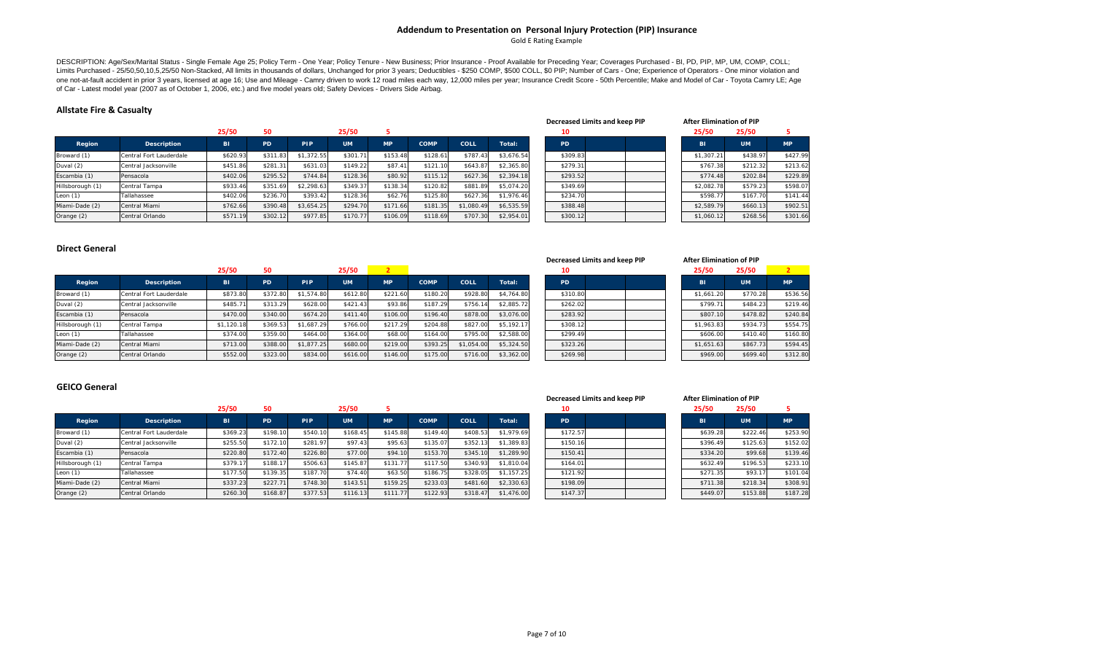### **Addendum to Presentation on Personal Injury Protection (PIP) Insurance** Gold E Rating Example

DESCRIPTION: Age/Sex/Marital Status - Single Female Age 25; Policy Term - One Year; Policy Tenure - New Business; Prior Insurance - Proof Available for Preceding Year; Coverages Purchased - BI, PD, PIP, MP, UM, COMP, COLL; one not-at-fault accident in prior 3 years, licensed at age 16; Use and Mileage - Camry driven to work 12 road miles each way, 12,000 miles per year, Insurance Credit Score - 50th Percentile; Make and Model of Car - Toyota of Car - Latest model year (2007 as of October 1, 2006, etc.) and five model years old; Safety Devices - Drivers Side Airbag.

#### **Allstate Fire & Casualty**

|                  |                         | 25/50     |           |            | 25/50     |           |             |            |            | 10       |  | 25/50      | 25/50     |           |
|------------------|-------------------------|-----------|-----------|------------|-----------|-----------|-------------|------------|------------|----------|--|------------|-----------|-----------|
| Region           | <b>Description</b>      | <b>BI</b> | <b>PD</b> | <b>PIP</b> | <b>UM</b> | <b>MP</b> | <b>COMP</b> | COLL       | Total:     | PD       |  | <b>BI</b>  | <b>UM</b> | <b>MP</b> |
| Broward (1)      | Central Fort Lauderdale | \$620.93  | \$311.83  | \$1,372.55 | \$301.71  | \$153.48  | \$128.61    | \$787.43   | \$3.676.54 | \$309.83 |  | \$1,307.21 | \$438.97  | \$427.99  |
| Duval (2)        | Central Jacksonville    | \$451.86  | \$281.31  | \$631.03   | \$149.22  | \$87.41   | \$121.10    | \$643.87   | \$2,365.80 | \$279.31 |  | \$767.38   | \$212.32  | \$213.62  |
| Escambia (1)     | Pensacola               | \$402.06  | \$295.52  | \$744.84   | \$128.36  | \$80.92   | \$115.12    | \$627.36   | \$2,394.18 | \$293.52 |  | \$774.48   | \$202.84  | \$229.89  |
| Hillsborough (1) | Central Tampa           | \$933.46  | \$351.69  | \$2,298.63 | \$349.37  | \$138.34  | \$120.82    | \$881.89   | \$5,074.20 | \$349.69 |  | \$2,082.78 | \$579.23  | \$598.07  |
| Leon $(1)$       | Tallahassee             | \$402.06  | \$236.70  | \$393.42   | \$128.36  | \$62.76   | \$125.80    | \$627.36   | \$1.976.46 | \$234.70 |  | \$598.77   | \$167.70  | \$141.44  |
| Miami-Dade (2)   | Central Miami           | \$762.66  | \$390.48  | \$3.654.25 | \$294.70  | \$171.66  | \$181.35    | \$1,080.49 | \$6.535.59 | \$388.48 |  | \$2,589.79 | \$660.13  | \$902.51  |
| Orange (2)       | Central Orlando         | \$571.19  | \$302.12  | \$977.85   | \$170.77  | \$106.09  | \$118.69    | \$707.30   | \$2,954.01 | \$300.12 |  | \$1,060.12 | \$268.56  | \$301.66  |

| Decreased Limits and keep PIP | <b>After Elimination of PIP</b> |           |           |
|-------------------------------|---------------------------------|-----------|-----------|
| 10                            | 25/50                           | 25/50     | 5         |
| PD.                           | <b>BI</b>                       | <b>UM</b> | <b>MP</b> |
| \$309.83                      | \$1,307.21                      | \$438.97  | \$427.99  |
| \$279.31                      | \$767.38                        | \$212.32  | \$213.62  |
| \$293.52                      | \$774.48                        | \$202.84  | \$229.89  |
| \$349.69                      | \$2,082.78                      | \$579.23  | \$598.07  |
| \$234.70                      | \$598.77                        | \$167.70  | \$141.44  |
| \$388.48                      | \$2,589.79                      | \$660.13  | \$902.51  |
| \$300.12                      | \$1,060.12                      | \$268.56  | \$301.66  |

#### **Direct General**

|                  |                         |            |           |            |           |           |             |            |            |          | Decreased Limits and keep PIP | <b>After Elimination of PIP</b> |           |           |
|------------------|-------------------------|------------|-----------|------------|-----------|-----------|-------------|------------|------------|----------|-------------------------------|---------------------------------|-----------|-----------|
|                  |                         | 25/50      | 50        |            | 25/50     |           |             |            |            | 10       |                               | 25/50                           | 25/50     |           |
| Region           | Description             | <b>BI</b>  | <b>PD</b> | <b>PIP</b> | <b>UM</b> | <b>MP</b> | <b>COMP</b> | COLL       | Total:     | PD.      |                               | <b>BI</b>                       | <b>UM</b> | <b>MP</b> |
| Broward (1)      | Central Fort Lauderdale | \$873.80   | \$372.80  | \$1,574.80 | \$612.80  | \$221.60  | \$180.20    | \$928.80   | \$4,764.80 | \$310.80 |                               | \$1,661.20                      | \$770.28  | \$536.56  |
| Duval (2)        | Central Jacksonville    | \$485.71   | \$313.29  | \$628.00   | \$421.43  | \$93.86   | \$187.29    | \$756.14   | \$2.885.72 | \$262.02 |                               | \$799.71                        | \$484.23  | \$219.46  |
| Escambia (1)     | Pensacola               | \$470.00   | \$340.00  | \$674.20   | \$411.40  | \$106.00  | \$196.40    | \$878.00   | \$3,076.00 | \$283.92 |                               | \$807.10                        | \$478.82  | \$240.84  |
| Hillsborough (1) | Central Tampa           | \$1,120.18 | \$369.53  | \$1.687.29 | \$766.00  | \$217.29  | \$204.88    | \$827.00   | \$5,192.17 | \$308.12 |                               | \$1,963.83                      | \$934.73  | \$554.75  |
| Leon $(1)$       | Tallahassee             | \$374.00   | \$359.00  | \$464.00   | \$364.00  | \$68.00   | \$164.00    | \$795.00   | \$2,588.00 | \$299.49 |                               | \$606.00                        | \$410.40  | \$160.80  |
| Miami-Dade (2)   | Central Miami           | \$713.00   | \$388.00  | \$1,877.25 | \$680.00  | \$219.00  | \$393.25    | \$1.054.00 | \$5,324.50 | \$323.26 |                               | \$1,651.63                      | \$867.73  | \$594.45  |
| Orange (2)       | Central Orlando         | \$552.00   | \$323.00  | \$834.00   | \$616.00  | \$146.00  | \$175.00    | \$716.00   | \$3,362.00 | \$269.98 |                               | \$969.00                        | \$699.40  | \$312.80  |

|     | d Limits and keep PIP |  | <b>After Elimination of PIP</b> |           |           |
|-----|-----------------------|--|---------------------------------|-----------|-----------|
|     |                       |  | 25/50                           | 25/50     |           |
|     |                       |  | <b>BI</b>                       | <b>UM</b> | <b>MP</b> |
| .80 |                       |  | \$1,661.20                      | \$770.28  | \$536.56  |
| .02 |                       |  | \$799.71                        | \$484.23  | \$219.46  |
| .92 |                       |  | \$807.10                        | \$478.82  | \$240.84  |
| .12 |                       |  | \$1,963.83                      | \$934.73  | \$554.75  |
| .49 |                       |  | \$606.00                        | \$410.40  | \$160.80  |
| .26 |                       |  | \$1.651.63                      | \$867.73  | \$594.45  |
| .98 |                       |  | \$969.00                        | \$699.40  | \$312.80  |

#### **GEICO General**

|                  |                         | 25/50     |          |            | 25/50     |          |             |          |            | 10        |          |  | 25/50     | 25/50           |           |
|------------------|-------------------------|-----------|----------|------------|-----------|----------|-------------|----------|------------|-----------|----------|--|-----------|-----------------|-----------|
| Region           | <b>Description</b>      | <b>BI</b> | PD       | <b>PIP</b> | <b>UM</b> | MP.      | <b>COMP</b> | COLL     | Total:     | <b>PD</b> |          |  | <b>BI</b> | UM <sup>1</sup> | <b>MP</b> |
| Broward (1)      | Central Fort Lauderdale | \$369.23  | \$198.10 | \$540.10   | \$168.45  | \$145.88 | \$149.40    | \$408.53 | \$1,979.69 |           | \$172.57 |  | \$639.28  | \$222.46        | \$253.90  |
| Duval (2)        | Central Jacksonville    | \$255.50  | \$172.10 | \$281.97   | \$97.43   | \$95.63  | \$135.07    | \$352.13 | \$1,389.83 |           | \$150.16 |  | \$396.49  | \$125.63        | \$152.02  |
| Escambia (1)     | Pensacola               | \$220.80  | \$172.40 | \$226.80   | \$77.00   | \$94.10  | \$153.70    | \$345.10 | \$1,289.90 |           | \$150.41 |  | \$334.20  | \$99.68         | \$139.46  |
| Hillsborough (1) | Central Tampa           | \$379.17  | \$188.17 | \$506.63   | \$145.87  | \$131.77 | \$117.50    | \$340.93 | \$1,810.04 |           | \$164.01 |  | \$632.49  | \$196.53        | \$233.10  |
| Leon $(1)$       | Tallahassee             | \$177.50  | \$139.35 | \$187.70   | \$74.40   | \$63.50  | \$186.75    | \$328.05 | \$1,157.25 |           | \$121.92 |  | \$271.35  | \$93.17         | \$101.04  |
| Miami-Dade (2)   | Central Miami           | \$337.23  | \$227.71 | \$748.30   | \$143.51  | \$159.25 | \$233.03    | \$481.60 | \$2,330.63 |           | \$198.09 |  | \$711.38  | \$218.34        | \$308.91  |
| Orange (2)       | Central Orlando         | \$260.30  | \$168.87 | \$377.53   | \$116.13  | \$111.77 | \$122.93    | \$318.47 | \$1,476.00 |           | \$147.37 |  | \$449.07  | \$153.88        | \$187.28  |

| <b>Decreased Limits and keep PII</b> |  |  |
|--------------------------------------|--|--|
|                                      |  |  |

**Limits and keep PIP After Elimination of PIP**

| 25/50     | 25/50     | 5         |
|-----------|-----------|-----------|
| <b>BI</b> | <b>UM</b> | <b>MP</b> |
| \$639.28  | \$222.46  | \$253.90  |
| \$396.49  | \$125.63  | \$152.02  |
| \$334.20  | \$99.68   | \$139.46  |
| \$632.49  | \$196.53  | \$233.10  |
| \$271.35  | \$93.17   | \$101.04  |
| \$711.38  | \$218.34  | \$308.91  |
| \$449.07  | \$153.88  | \$187.28  |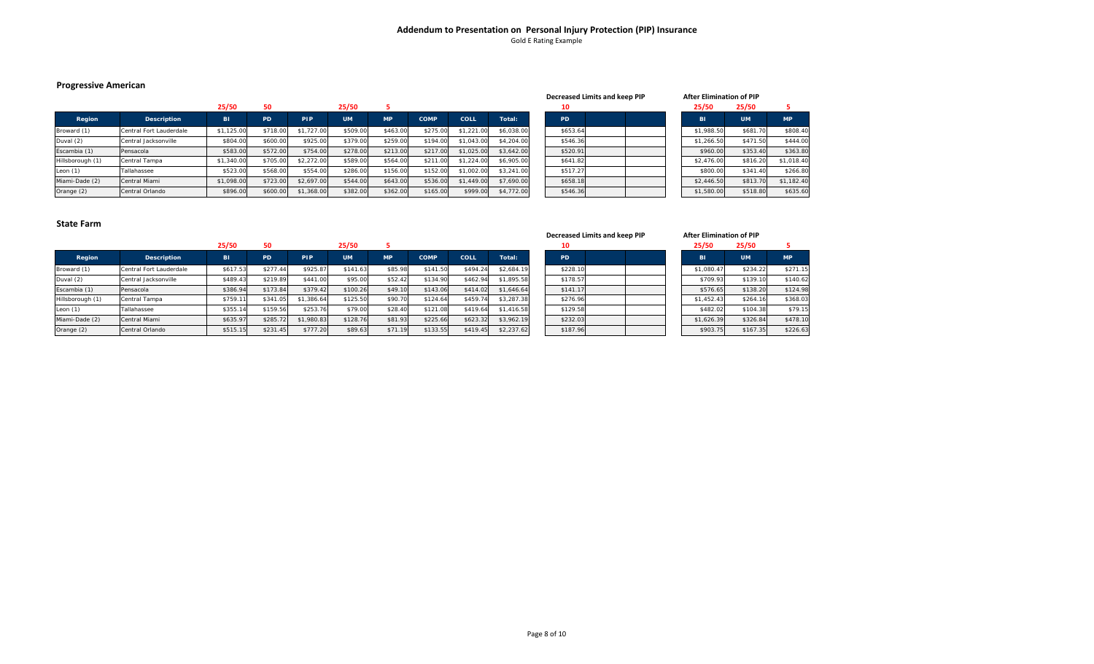# **Addendum to Presentation on Personal Injury Protection (PIP) Insurance** Gold E Rating Example

# **Progressive American**

|                  |                         |            |           |            |           |           |             |            |            |           | Decreased Limits and keep PIP |  |            | After Elimination of PIP |            |
|------------------|-------------------------|------------|-----------|------------|-----------|-----------|-------------|------------|------------|-----------|-------------------------------|--|------------|--------------------------|------------|
|                  |                         | 25/50      | 50        |            | 25/50     |           |             |            |            |           |                               |  | 25/50      | 25/50                    |            |
| Region           | <b>Description</b>      | <b>BI</b>  | <b>PD</b> | <b>PIP</b> | <b>UM</b> | <b>MP</b> | <b>COMP</b> | COLL       | Total:     | <b>PD</b> |                               |  | <b>BI</b>  | <b>UM</b>                | <b>MP</b>  |
| Broward (1)      | Central Fort Lauderdale | \$1,125.00 | \$718.00  | \$1,727.00 | \$509.00  | \$463.00  | \$275.00    | \$1,221.00 | \$6,038.00 | \$653.64  |                               |  | \$1,988.50 | \$681.70                 | \$808.40   |
| Duval (2)        | Central Jacksonville    | \$804.00   | \$600.00  | \$925.00   | \$379.00  | \$259.00  | \$194.00    | \$1,043.00 | \$4,204.00 | \$546.36  |                               |  | \$1,266.50 | \$471.50                 | \$444.00   |
| Escambia (1)     | Pensacola               | \$583.00   | \$572.00  | \$754.00   | \$278.00  | \$213.00  | \$217.00    | \$1,025,00 | \$3,642.00 | \$520.91  |                               |  | \$960.00   | \$353.40                 | \$363.80   |
| Hillsborough (1) | Central Tampa           | \$1,340.00 | \$705.00  | \$2,272.00 | \$589.00  | \$564.00  | \$211.00    | \$1,224.00 | \$6,905.00 | \$641.82  |                               |  | \$2,476.00 | \$816.20                 | \$1,018.40 |
| Leon $(1)$       | Tallahassee             | \$523.00   | \$568.00  | \$554.00   | \$286.00  | \$156.00  | \$152.00    | \$1,002.00 | \$3,241.00 | \$517.27  |                               |  | \$800.00   | \$341.40                 | \$266.80   |
| Miami-Dade (2)   | Central Miami           | \$1,098.00 | \$723.00  | \$2,697.00 | \$544.00  | \$643.00  | \$536.00    | \$1,449.00 | \$7,690.00 | \$658.18  |                               |  | \$2,446.50 | \$813.70                 | \$1,182.40 |
| Orange (2)       | Central Orlando         | \$896.00   | \$600.00  | \$1,368.00 | \$382.00  | \$362.00  | \$165.00    | \$999.00   | \$4,772.00 | \$546.36  |                               |  | \$1,580.00 | \$518.80                 | \$635.60   |

|           | Decreased Limits and keep PIP |  | After Elimination of PIP |           |           |
|-----------|-------------------------------|--|--------------------------|-----------|-----------|
| 10        |                               |  | 25/50                    | 25/50     | 5         |
| <b>PD</b> |                               |  | <b>BI</b>                | <b>UM</b> | <b>MP</b> |
| \$653.64  |                               |  | \$1,988.50               | \$681.70  | \$808.4   |
| \$546.36  |                               |  | \$1,266.50               | \$471.50  | \$444.0   |
| \$520.91  |                               |  | \$960.00                 | \$353.40  | \$363.8   |
| \$641.82  |                               |  | \$2,476.00               | \$816.20  | \$1,018.4 |
| \$517.27  |                               |  | \$800.00                 | \$341.40  | \$266.8   |
| \$658.18  |                               |  | \$2,446.50               | \$813.70  | \$1,182.4 |
| \$546.36  |                               |  | \$1,580.00               | \$518.80  | \$635.6   |

|                  |                         |           |           |            |           |           |             |          |            |    | Decreased Limits and keep PIP |  | <b>After Elimination of PIP</b> |           |           |
|------------------|-------------------------|-----------|-----------|------------|-----------|-----------|-------------|----------|------------|----|-------------------------------|--|---------------------------------|-----------|-----------|
|                  |                         | 25/50     | 50        |            | 25/50     |           |             |          |            |    | 10                            |  | 25/50                           | 25/50     |           |
| Region           | Description             | <b>BI</b> | <b>PD</b> | PIP        | <b>UM</b> | <b>MP</b> | <b>COMP</b> | COLL     | Total:     | PD |                               |  | <b>BI</b>                       | <b>UM</b> | <b>MP</b> |
| Broward (1)      | Central Fort Lauderdale | \$617.53  | \$277.44  | \$925.87   | \$141.63  | \$85.98   | \$141.50    | \$494.24 | \$2,684.19 |    | \$228.1                       |  | \$1,080.47                      | \$234.22  | \$271.15  |
| Duval (2)        | Central Jacksonville    | \$489.43  | \$219.89  | \$441.00   | \$95.00   | \$52.42   | \$134.90    | \$462.94 | \$1,895.58 |    | \$178.57                      |  | \$709.93                        | \$139.10  | \$140.62  |
| Escambia (1)     | Pensacola               | \$386.94  | \$173.84  | \$379.42   | \$100.26  | \$49.10   | \$143.06    | \$414.02 | \$1,646.64 |    | \$141.17                      |  | \$576.65                        | \$138.20  | \$124.98  |
| Hillsborough (1) | Central Tampa           | \$759.11  | \$341.0   | \$1,386.64 | \$125.50  | \$90.70   | \$124.64    | \$459.74 | \$3,287.38 |    | \$276.96                      |  | \$1,452.43                      | \$264.16  | \$368.03  |
| Leon $(1)$       | Tallahassee             | \$355.14  | \$159.56  | \$253.76   | \$79.00   | \$28.40   | \$121.08    | \$419.64 | \$1,416.58 |    | \$129.58                      |  | \$482.02                        | \$104.38  | \$79.15   |
| Miami-Dade (2)   | Central Miami           | \$635.97  | \$285.72  | \$1,980.83 | \$128.76  | \$81.93   | \$225.66    | \$623.32 | \$3,962.19 |    | \$232.03                      |  | \$1,626.39                      | \$326.84  | \$478.10  |
| Orange (2)       | Central Orlando         | \$515.15  | \$231.45  | \$777.20   | \$89.63   | \$71.19   | \$133.55    | \$419.45 | \$2,237.62 |    | \$187.96                      |  | \$903.75                        | \$167.35  | \$226.63  |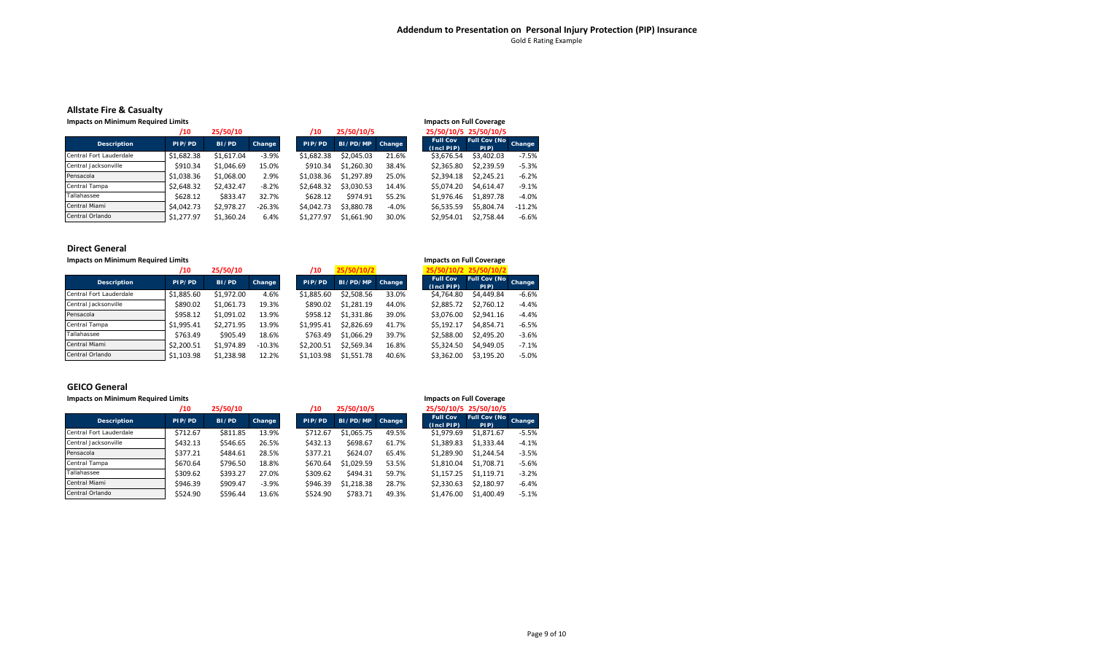# **Addendum to Presentation on Personal Injury Protection (PIP) Insurance** Gold E Rating Example

# **Allstate Fire & Casualty**

| <b>Impacts on Minimum Required Limits</b> |            |            |          |            |            |               |                                 | <b>Impacts on Full Coverage</b> |  |
|-------------------------------------------|------------|------------|----------|------------|------------|---------------|---------------------------------|---------------------------------|--|
|                                           | /10        | 25/50/10   |          | /10        | 25/50/10/5 |               |                                 | 25/50/10/5 25/50/10/5           |  |
| <b>Description</b>                        | PIP/PD     | BI/PD      | Change   | PIP/PD     | BI/PD/MP   | <b>Change</b> | <b>Full Cov</b><br>$(Incl$ PIP) | <b>Full Cov (No</b><br>PIP)     |  |
| Central Fort Lauderdale                   | \$1,682.38 | \$1.617.04 | $-3.9%$  | \$1.682.38 | \$2.045.03 | 21.6%         | \$3.676.54                      | \$3,402.03                      |  |
| Central Jacksonville                      | \$910.34   | \$1.046.69 | 15.0%    | \$910.34   | \$1.260.30 | 38.4%         | \$2.365.80                      | \$2.239.59                      |  |
| Pensacola                                 | \$1.038.36 | \$1,068.00 | 2.9%     | \$1.038.36 | \$1,297.89 | 25.0%         | \$2.394.18                      | \$2.245.21                      |  |
| Central Tampa                             | \$2.648.32 | \$2.432.47 | $-8.2%$  | \$2.648.32 | \$3.030.53 | 14.4%         | \$5.074.20                      | \$4.614.47                      |  |
| Tallahassee                               | \$628.12   | \$833.47   | 32.7%    | \$628.12   | \$974.91   | 55.2%         | \$1.976.46                      | \$1,897.78                      |  |
| Central Miami                             | \$4,042.73 | \$2.978.27 | $-26.3%$ | \$4.042.73 | \$3.880.78 | $-4.0%$       | \$6,535.59                      | \$5.804.74                      |  |
| Central Orlando                           | \$1.277.97 | \$1.360.24 | 6.4%     | \$1.277.97 | \$1.661.90 | 30.0%         | \$2.954.01                      | \$2.758.44                      |  |

### **Direct General**

| <b>Impacts on Minimum Required Limits</b> |            |            |               |            |            |        |                                    | <b>Impacts on Full Coverage</b> |               |
|-------------------------------------------|------------|------------|---------------|------------|------------|--------|------------------------------------|---------------------------------|---------------|
|                                           | /10        | 25/50/10   |               | /10        | 25/50/10/2 |        |                                    | 25/50/10/2 25/50/10/2           |               |
| <b>Description</b>                        | PIP/PD     | BI/PD      | <b>Change</b> | PIP/PD     | BI/PD/MP   | Change | <b>Full Cov</b><br>$(Incl$ PIP $)$ | <b>Full Cov (No</b><br>PIP)     | <b>Change</b> |
| Central Fort Lauderdale                   | \$1,885.60 | \$1.972.00 | 4.6%          | \$1.885.60 | \$2.508.56 | 33.0%  | \$4.764.80                         | \$4,449.84                      | $-6.6%$       |
| Central Jacksonville                      | \$890.02   | \$1.061.73 | 19.3%         | \$890.02   | \$1.281.19 | 44.0%  | \$2.885.72                         | \$2.760.12                      | $-4.4%$       |
| Pensacola                                 | \$958.12   | \$1,091.02 | 13.9%         | \$958.12   | \$1,331.86 | 39.0%  | \$3.076.00                         | \$2.941.16                      | $-4.4%$       |
| Central Tampa                             | \$1.995.41 | \$2.271.95 | 13.9%         | \$1.995.41 | \$2.826.69 | 41.7%  | \$5.192.17                         | \$4.854.71                      | $-6.5%$       |
| Tallahassee                               | \$763.49   | \$905.49   | 18.6%         | \$763.49   | \$1.066.29 | 39.7%  | \$2.588.00                         | \$2.495.20                      | $-3.6%$       |
| Central Miami                             | \$2.200.51 | \$1.974.89 | $-10.3%$      | \$2.200.51 | \$2,569.34 | 16.8%  | \$5.324.50                         | \$4,949.05                      | $-7.1%$       |
| Central Orlando                           | \$1.103.98 | \$1.238.98 | 12.2%         | \$1.103.98 | \$1,551.78 | 40.6%  | \$3.362.00                         | \$3.195.20                      | $-5.0%$       |

# **GEICO General**

| <b>Impacts on Minimum Required Limits</b> |          |          |         |          |            |        |                               | <b>Impacts on Full Coverage</b> |  |
|-------------------------------------------|----------|----------|---------|----------|------------|--------|-------------------------------|---------------------------------|--|
|                                           | /10      | 25/50/10 |         | /10      | 25/50/10/5 |        |                               | 25/50/10/5 25/50/10/5           |  |
| <b>Description</b>                        | PIP/PD   | BI/PD    | Change  | PIP/PD   | BI/PD/MP   | Change | <b>Full Cov</b><br>(Incl PIP) | <b>Full Cov (No</b><br>PIP)     |  |
| Central Fort Lauderdale                   | \$712.67 | \$811.85 | 13.9%   | \$712.67 | \$1.065.75 | 49.5%  | \$1,979.69                    | \$1,871.67                      |  |
| Central Jacksonville                      | \$432.13 | \$546.65 | 26.5%   | \$432.13 | \$698.67   | 61.7%  | \$1,389.83                    | \$1.333.44                      |  |
| Pensacola                                 | \$377.21 | \$484.61 | 28.5%   | \$377.21 | \$624.07   | 65.4%  | \$1.289.90                    | \$1.244.54                      |  |
| Central Tampa                             | \$670.64 | \$796.50 | 18.8%   | \$670.64 | \$1.029.59 | 53.5%  | \$1.810.04                    | \$1.708.71                      |  |
| Tallahassee                               | \$309.62 | \$393.27 | 27.0%   | \$309.62 | \$494.31   | 59.7%  | \$1.157.25                    | \$1.119.71                      |  |
| Central Miami                             | \$946.39 | \$909.47 | $-3.9%$ | \$946.39 | \$1.218.38 | 28.7%  | \$2.330.63                    | \$2.180.97                      |  |
| Central Orlando                           | \$524.90 | \$596.44 | 13.6%   | \$524.90 | \$783.71   | 49.3%  | \$1.476.00                    | \$1,400.49                      |  |